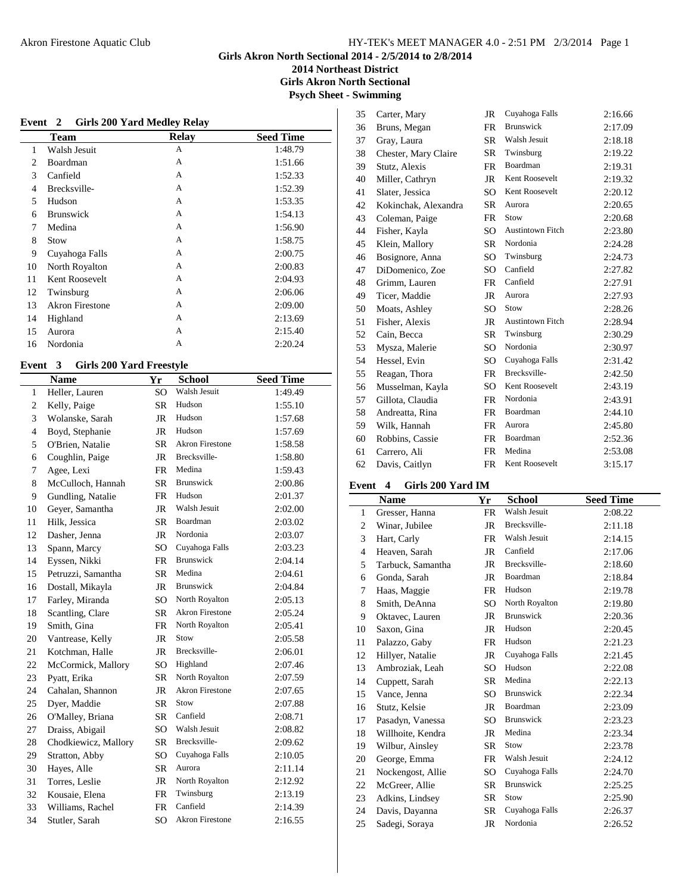**2014 Northeast District**

**Girls Akron North Sectional**

**Psych Sheet - Swimming**

|    | Event 2                | <b>Girls 200 Yard Medley Relay</b> |                  |
|----|------------------------|------------------------------------|------------------|
|    | <b>Team</b>            | <b>Relay</b>                       | <b>Seed Time</b> |
| 1  | Walsh Jesuit           | А                                  | 1:48.79          |
| 2  | Boardman               | A                                  | 1:51.66          |
| 3  | Canfield               | A                                  | 1:52.33          |
| 4  | Brecksville-           | A                                  | 1:52.39          |
| 5  | Hudson                 | A                                  | 1:53.35          |
| 6  | <b>Brunswick</b>       | A                                  | 1:54.13          |
| 7  | Medina                 | A                                  | 1:56.90          |
| 8  | Stow                   | A                                  | 1:58.75          |
| 9  | Cuyahoga Falls         | A                                  | 2:00.75          |
| 10 | North Royalton         | A                                  | 2:00.83          |
| 11 | Kent Roosevelt         | A                                  | 2:04.93          |
| 12 | Twinsburg              | A                                  | 2:06.06          |
| 13 | <b>Akron Firestone</b> | A                                  | 2:09.00          |
| 14 | Highland               | A                                  | 2:13.69          |
| 15 | Aurora                 | A                                  | 2:15.40          |
| 16 | Nordonia               | А                                  | 2:20.24          |

# **Event 3 Girls 200 Yard Freestyle**

|                          | <b>Name</b>          | Yr              | <b>School</b>          | <b>Seed Time</b> |
|--------------------------|----------------------|-----------------|------------------------|------------------|
| $\mathbf{1}$             | Heller, Lauren       | SO <sub>1</sub> | Walsh Jesuit           | 1:49.49          |
| 2                        | Kelly, Paige         | <b>SR</b>       | Hudson                 | 1:55.10          |
| 3                        | Wolanske, Sarah      | <b>JR</b>       | Hudson                 | 1:57.68          |
| $\overline{\mathcal{L}}$ | Boyd, Stephanie      | <b>JR</b>       | Hudson                 | 1:57.69          |
| 5                        | O'Brien, Natalie     | <b>SR</b>       | <b>Akron Firestone</b> | 1:58.58          |
| 6                        | Coughlin, Paige      | JR              | Brecksville-           | 1:58.80          |
| 7                        | Agee, Lexi           | FR              | Medina                 | 1:59.43          |
| 8                        | McCulloch, Hannah    | <b>SR</b>       | Brunswick              | 2:00.86          |
| 9                        | Gundling, Natalie    | FR              | Hudson                 | 2:01.37          |
| 10                       | Geyer, Samantha      | <b>JR</b>       | Walsh Jesuit           | 2:02.00          |
| 11                       | Hilk, Jessica        | <b>SR</b>       | Boardman               | 2:03.02          |
| 12                       | Dasher, Jenna        | <b>JR</b>       | Nordonia               | 2:03.07          |
| 13                       | Spann, Marcy         | SO <sub>1</sub> | Cuyahoga Falls         | 2:03.23          |
| 14                       | Eyssen, Nikki        | FR              | <b>Brunswick</b>       | 2:04.14          |
| 15                       | Petruzzi, Samantha   | <b>SR</b>       | Medina                 | 2:04.61          |
| 16                       | Dostall, Mikayla     | JR              | <b>Brunswick</b>       | 2:04.84          |
| 17                       | Farley, Miranda      | SO <sub>1</sub> | North Royalton         | 2:05.13          |
| 18                       | Scantling, Clare     | <b>SR</b>       | <b>Akron Firestone</b> | 2:05.24          |
| 19                       | Smith, Gina          | FR              | North Royalton         | 2:05.41          |
| 20                       | Vantrease, Kelly     | JR              | Stow                   | 2:05.58          |
| 21                       | Kotchman, Halle      | <b>JR</b>       | Brecksville-           | 2:06.01          |
| 22                       | McCormick, Mallory   | SO              | Highland               | 2:07.46          |
| 23                       | Pyatt, Erika         | <b>SR</b>       | North Royalton         | 2:07.59          |
| 24                       | Cahalan, Shannon     | <b>JR</b>       | <b>Akron Firestone</b> | 2:07.65          |
| 25                       | Dyer, Maddie         | <b>SR</b>       | Stow                   | 2:07.88          |
| 26                       | O'Malley, Briana     | SR              | Canfield               | 2:08.71          |
| 27                       | Draiss, Abigail      | SO <sub>1</sub> | Walsh Jesuit           | 2:08.82          |
| 28                       | Chodkiewicz, Mallory | <b>SR</b>       | Brecksville-           | 2:09.62          |
| 29                       | Stratton, Abby       | SO              | Cuyahoga Falls         | 2:10.05          |
| 30                       | Hayes, Alle          | <b>SR</b>       | Aurora                 | 2:11.14          |
| 31                       | Torres, Leslie       | JR              | North Royalton         | 2:12.92          |
| 32                       | Kousaie, Elena       | FR              | Twinsburg              | 2:13.19          |
| 33                       | Williams, Rachel     | FR              | Canfield               | 2:14.39          |
| 34                       | Stutler, Sarah       | SO <sub>1</sub> | <b>Akron Firestone</b> | 2:16.55          |
|                          |                      |                 |                        |                  |

| 35 | Carter, Mary         | JR  | Cuyahoga Falls          | 2:16.66 |
|----|----------------------|-----|-------------------------|---------|
| 36 | Bruns, Megan         | FR  | <b>Brunswick</b>        | 2:17.09 |
| 37 | Gray, Laura          | SR  | Walsh Jesuit            | 2:18.18 |
| 38 | Chester, Mary Claire | SR  | Twinsburg               | 2:19.22 |
| 39 | Stutz, Alexis        | FR  | Boardman                | 2:19.31 |
| 40 | Miller, Cathryn      | JR  | Kent Roosevelt          | 2:19.32 |
| 41 | Slater, Jessica      | SO  | Kent Roosevelt          | 2:20.12 |
| 42 | Kokinchak, Alexandra | SR  | Aurora                  | 2:20.65 |
| 43 | Coleman, Paige       | FR  | Stow                    | 2:20.68 |
| 44 | Fisher, Kayla        | SO  | <b>Austintown Fitch</b> | 2:23.80 |
| 45 | Klein, Mallory       | SR. | Nordonia                | 2:24.28 |
| 46 | Bosignore, Anna      | SO. | Twinsburg               | 2:24.73 |
| 47 | DiDomenico, Zoe      | SO  | Canfield                | 2:27.82 |
| 48 | Grimm, Lauren        | FR  | Canfield                | 2:27.91 |
| 49 | Ticer, Maddie        | JR  | Aurora                  | 2:27.93 |
| 50 | Moats, Ashley        | SO. | Stow                    | 2:28.26 |
| 51 | Fisher, Alexis       | JR  | <b>Austintown Fitch</b> | 2:28.94 |
| 52 | Cain, Becca          | SR  | Twinsburg               | 2:30.29 |
| 53 | Mysza, Malerie       | SO  | Nordonia                | 2:30.97 |
| 54 | Hessel, Evin         | SO  | Cuyahoga Falls          | 2:31.42 |
| 55 | Reagan, Thora        | FR  | Brecksville-            | 2:42.50 |
| 56 | Musselman, Kayla     | SO. | Kent Roosevelt          | 2:43.19 |
| 57 | Gillota, Claudia     | FR  | Nordonia                | 2:43.91 |
| 58 | Andreatta, Rina      | FR  | Boardman                | 2:44.10 |
| 59 | Wilk, Hannah         | FR  | Aurora                  | 2:45.80 |
| 60 | Robbins, Cassie      | FR  | Boardman                | 2:52.36 |
| 61 | Carrero, Ali         | FR  | Medina                  | 2:53.08 |
| 62 | Davis, Caitlyn       | FR  | Kent Roosevelt          | 3:15.17 |

# **Event 4 Girls 200 Yard IM**

|              | <b>Name</b>       | Yr        | School           | <b>Seed Time</b> |
|--------------|-------------------|-----------|------------------|------------------|
| $\mathbf{1}$ | Gresser, Hanna    | FR        | Walsh Jesuit     | 2:08.22          |
| 2            | Winar, Jubilee    | JR        | Brecksville-     | 2:11.18          |
| 3            | Hart, Carly       | FR        | Walsh Jesuit     | 2:14.15          |
| 4            | Heaven, Sarah     | JR        | Canfield         | 2:17.06          |
| 5            | Tarbuck, Samantha | JR        | Brecksville-     | 2:18.60          |
| 6            | Gonda, Sarah      | JR        | Boardman         | 2:18.84          |
| 7            | Haas, Maggie      | FR        | Hudson           | 2:19.78          |
| 8            | Smith, DeAnna     | SO        | North Royalton   | 2:19.80          |
| 9            | Oktavec, Lauren   | JR        | <b>Brunswick</b> | 2:20.36          |
| 10           | Saxon, Gina       | JR        | Hudson           | 2:20.45          |
| 11           | Palazzo, Gaby     | FR        | Hudson           | 2:21.23          |
| 12           | Hillyer, Natalie  | JR        | Cuyahoga Falls   | 2:21.45          |
| 13           | Ambroziak, Leah   | SO        | Hudson           | 2:22.08          |
| 14           | Cuppett, Sarah    | SR.       | Medina           | 2:22.13          |
| 15           | Vance, Jenna      | SO        | Brunswick        | 2:22.34          |
| 16           | Stutz, Kelsie     | JR        | Boardman         | 2:23.09          |
| 17           | Pasadyn, Vanessa  | SO        | <b>Brunswick</b> | 2:23.23          |
| 18           | Willhoite, Kendra | JR        | Medina           | 2:23.34          |
| 19           | Wilbur, Ainsley   | <b>SR</b> | Stow             | 2:23.78          |
| 20           | George, Emma      | FR        | Walsh Jesuit     | 2:24.12          |
| 21           | Nockengost, Allie | SO        | Cuyahoga Falls   | 2:24.70          |
| 22           | McGreer, Allie    | SR        | <b>Brunswick</b> | 2:25.25          |
| 23           | Adkins, Lindsey   | <b>SR</b> | Stow             | 2:25.90          |
| 24           | Davis, Dayanna    | <b>SR</b> | Cuyahoga Falls   | 2:26.37          |
| 25           | Sadegi, Soraya    | JR        | Nordonia         | 2:26.52          |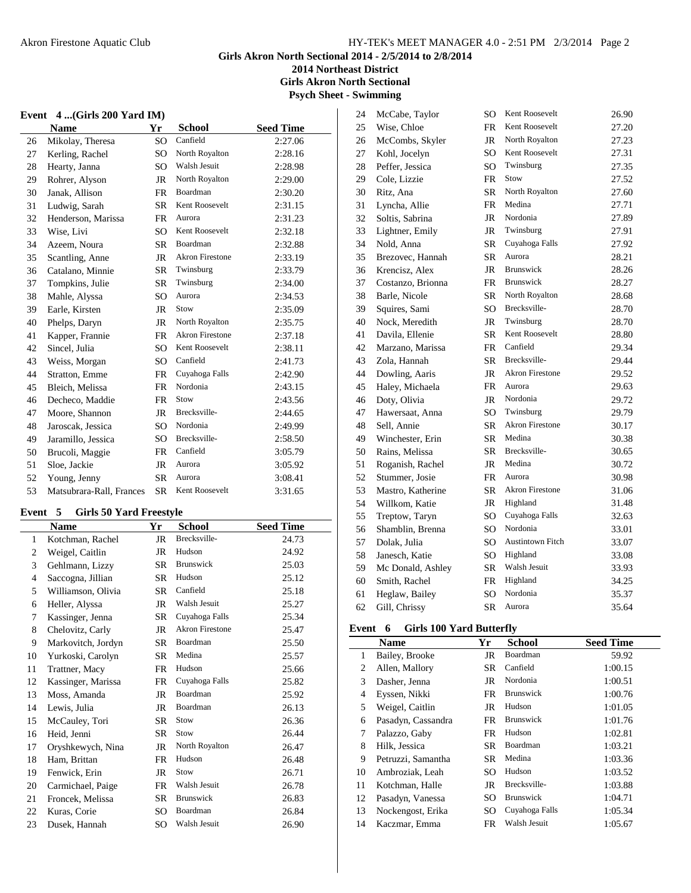**2014 Northeast District Girls Akron North Sectional**

**Psych Sheet - Swimming**

# **Event 4 ...(Girls 200 Yard IM)**

|    | <b>Name</b>              | Yr              | School                 | <b>Seed Time</b> |
|----|--------------------------|-----------------|------------------------|------------------|
| 26 | Mikolay, Theresa         | SO <sub>1</sub> | Canfield               | 2:27.06          |
| 27 | Kerling, Rachel          | SO.             | North Royalton         | 2:28.16          |
| 28 | Hearty, Janna            | SO              | Walsh Jesuit           | 2:28.98          |
| 29 | Rohrer, Alyson           | <b>JR</b>       | North Royalton         | 2:29.00          |
| 30 | Janak, Allison           | <b>FR</b>       | Boardman               | 2:30.20          |
| 31 | Ludwig, Sarah            | SR              | Kent Roosevelt         | 2:31.15          |
| 32 | Henderson, Marissa       | FR              | Aurora                 | 2:31.23          |
| 33 | Wise, Livi               | SO              | Kent Roosevelt         | 2:32.18          |
| 34 | Azeem, Noura             | SR              | Boardman               | 2:32.88          |
| 35 | Scantling, Anne          | <b>JR</b>       | <b>Akron Firestone</b> | 2:33.19          |
| 36 | Catalano, Minnie         | <b>SR</b>       | Twinsburg              | 2:33.79          |
| 37 | Tompkins, Julie          | SR              | Twinsburg              | 2:34.00          |
| 38 | Mahle, Alyssa            | SO.             | Aurora                 | 2:34.53          |
| 39 | Earle, Kirsten           | JR              | Stow                   | 2:35.09          |
| 40 | Phelps, Daryn            | <b>JR</b>       | North Royalton         | 2:35.75          |
| 41 | Kapper, Frannie          | FR              | <b>Akron Firestone</b> | 2:37.18          |
| 42 | Sincel, Julia            | SO              | Kent Roosevelt         | 2:38.11          |
| 43 | Weiss, Morgan            | SO.             | Canfield               | 2:41.73          |
| 44 | Stratton, Emme           | <b>FR</b>       | Cuyahoga Falls         | 2:42.90          |
| 45 | Bleich, Melissa          | <b>FR</b>       | Nordonia               | 2:43.15          |
| 46 | Decheco, Maddie          | <b>FR</b>       | Stow                   | 2:43.56          |
| 47 | Moore, Shannon           | JR              | Brecksville-           | 2:44.65          |
| 48 | Jaroscak, Jessica        | SO              | Nordonia               | 2:49.99          |
| 49 | Jaramillo, Jessica       | SO              | Brecksville-           | 2:58.50          |
| 50 | Brucoli, Maggie          | FR              | Canfield               | 3:05.79          |
| 51 | Sloe, Jackie             | <b>JR</b>       | Aurora                 | 3:05.92          |
| 52 | Young, Jenny             | <b>SR</b>       | Aurora                 | 3:08.41          |
| 53 | Matsubrara-Rall, Frances | <b>SR</b>       | Kent Roosevelt         | 3:31.65          |

## **Event 5 Girls 50 Yard Freestyle**

|              | <b>Name</b>        | Yr        | <b>School</b>          | <b>Seed Time</b> |
|--------------|--------------------|-----------|------------------------|------------------|
| $\mathbf{1}$ | Kotchman, Rachel   | JR        | Brecksville-           | 24.73            |
| 2            | Weigel, Caitlin    | JR        | Hudson                 | 24.92            |
| 3            | Gehlmann, Lizzy    | <b>SR</b> | Brunswick              | 25.03            |
| 4            | Saccogna, Jillian  | <b>SR</b> | Hudson                 | 25.12            |
| 5            | Williamson, Olivia | <b>SR</b> | Canfield               | 25.18            |
| 6            | Heller, Alyssa     | JR        | Walsh Jesuit           | 25.27            |
| 7            | Kassinger, Jenna   | SR.       | Cuyahoga Falls         | 25.34            |
| 8            | Chelovitz, Carly   | JR        | <b>Akron Firestone</b> | 25.47            |
| 9            | Markovitch, Jordyn | SR.       | Boardman               | 25.50            |
| 10           | Yurkoski, Carolyn  | <b>SR</b> | Medina                 | 25.57            |
| 11           | Trattner, Macy     | <b>FR</b> | Hudson                 | 25.66            |
| 12           | Kassinger, Marissa | FR        | Cuyahoga Falls         | 25.82            |
| 13           | Moss, Amanda       | JR        | Boardman               | 25.92            |
| 14           | Lewis, Julia       | JR        | Boardman               | 26.13            |
| 15           | McCauley, Tori     | <b>SR</b> | Stow                   | 26.36            |
| 16           | Heid, Jenni        | <b>SR</b> | Stow                   | 26.44            |
| 17           | Oryshkewych, Nina  | JR        | North Royalton         | 26.47            |
| 18           | Ham, Brittan       | FR        | Hudson                 | 26.48            |
| 19           | Fenwick, Erin      | JR        | Stow                   | 26.71            |
| 20           | Carmichael, Paige  | FR.       | Walsh Jesuit           | 26.78            |
| 21           | Froncek, Melissa   | SR        | Brunswick              | 26.83            |
| 22           | Kuras, Corie       | SO.       | Boardman               | 26.84            |
| 23           | Dusek, Hannah      | SO        | Walsh Jesuit           | 26.90            |

| 24 | McCabe, Taylor    | SO  | Kent Roosevelt          | 26.90 |
|----|-------------------|-----|-------------------------|-------|
| 25 | Wise, Chloe       | FR  | Kent Roosevelt          | 27.20 |
| 26 | McCombs, Skyler   | JR  | North Royalton          | 27.23 |
| 27 | Kohl, Jocelyn     | SO  | Kent Roosevelt          | 27.31 |
| 28 | Peffer, Jessica   | SO  | Twinsburg               | 27.35 |
| 29 | Cole, Lizzie      | FR  | Stow                    | 27.52 |
| 30 | Ritz, Ana         | SR  | North Royalton          | 27.60 |
| 31 | Lyncha, Allie     | FR  | Medina                  | 27.71 |
| 32 | Soltis, Sabrina   | JR  | Nordonia                | 27.89 |
| 33 | Lightner, Emily   | JR  | Twinsburg               | 27.91 |
| 34 | Nold, Anna        | SR  | Cuyahoga Falls          | 27.92 |
| 35 | Brezovec, Hannah  | SR  | Aurora                  | 28.21 |
| 36 | Krencisz, Alex    | JR  | <b>Brunswick</b>        | 28.26 |
| 37 | Costanzo, Brionna | FR  | <b>Brunswick</b>        | 28.27 |
| 38 | Barle, Nicole     | SR  | North Royalton          | 28.68 |
| 39 | Squires, Sami     | SO  | Brecksville-            | 28.70 |
| 40 | Nock, Meredith    | JR  | Twinsburg               | 28.70 |
| 41 | Davila, Ellenie   | SR  | Kent Roosevelt          | 28.80 |
| 42 | Marzano, Marissa  | FR  | Canfield                | 29.34 |
| 43 | Zola, Hannah      | SR  | Brecksville-            | 29.44 |
| 44 | Dowling, Aaris    | JR  | <b>Akron Firestone</b>  | 29.52 |
| 45 | Haley, Michaela   | FR  | Aurora                  | 29.63 |
| 46 | Doty, Olivia      | JR  | Nordonia                | 29.72 |
| 47 | Hawersaat, Anna   | SO  | Twinsburg               | 29.79 |
| 48 | Sell, Annie       | SR. | <b>Akron Firestone</b>  | 30.17 |
| 49 | Winchester, Erin  | SR  | Medina                  | 30.38 |
| 50 | Rains, Melissa    | SR  | Brecksville-            | 30.65 |
| 51 | Roganish, Rachel  | JR  | Medina                  | 30.72 |
| 52 | Stummer, Josie    | FR  | Aurora                  | 30.98 |
| 53 | Mastro, Katherine | SR  | <b>Akron Firestone</b>  | 31.06 |
| 54 | Willkom, Katie    | JR  | Highland                | 31.48 |
| 55 | Treptow, Taryn    | SO  | Cuyahoga Falls          | 32.63 |
| 56 | Shamblin, Brenna  | SO  | Nordonia                | 33.01 |
| 57 | Dolak, Julia      | SO  | <b>Austintown Fitch</b> | 33.07 |
| 58 | Janesch, Katie    | SO  | Highland                | 33.08 |
| 59 | Mc Donald, Ashley | SR  | Walsh Jesuit            | 33.93 |
| 60 | Smith, Rachel     | FR  | Highland                | 34.25 |
| 61 | Heglaw, Bailey    | SO  | Nordonia                | 35.37 |
| 62 | Gill, Chrissy     | SR  | Aurora                  | 35.64 |

## **Event 6 Girls 100 Yard Butterfly**

|    | Name               | Yr        | <b>School</b>    | <b>Seed Time</b> |
|----|--------------------|-----------|------------------|------------------|
| 1  | Bailey, Brooke     | JR        | Boardman         | 59.92            |
| 2  | Allen, Mallory     | <b>SR</b> | Canfield         | 1:00.15          |
| 3  | Dasher, Jenna      | JR        | Nordonia         | 1:00.51          |
| 4  | Eyssen, Nikki      | FR        | <b>Brunswick</b> | 1:00.76          |
| 5  | Weigel, Caitlin    | JR        | Hudson           | 1:01.05          |
| 6  | Pasadyn, Cassandra | FR        | <b>Brunswick</b> | 1:01.76          |
| 7  | Palazzo, Gaby      | FR        | Hudson           | 1:02.81          |
| 8  | Hilk, Jessica      | <b>SR</b> | Boardman         | 1:03.21          |
| 9  | Petruzzi, Samantha | SR        | Medina           | 1:03.36          |
| 10 | Ambroziak, Leah    | SO.       | Hudson           | 1:03.52          |
| 11 | Kotchman, Halle    | JR        | Brecksville-     | 1:03.88          |
| 12 | Pasadyn, Vanessa   | <b>SO</b> | <b>Brunswick</b> | 1:04.71          |
| 13 | Nockengost, Erika  | SO        | Cuyahoga Falls   | 1:05.34          |
| 14 | Kaczmar, Emma      | FR        | Walsh Jesuit     | 1:05.67          |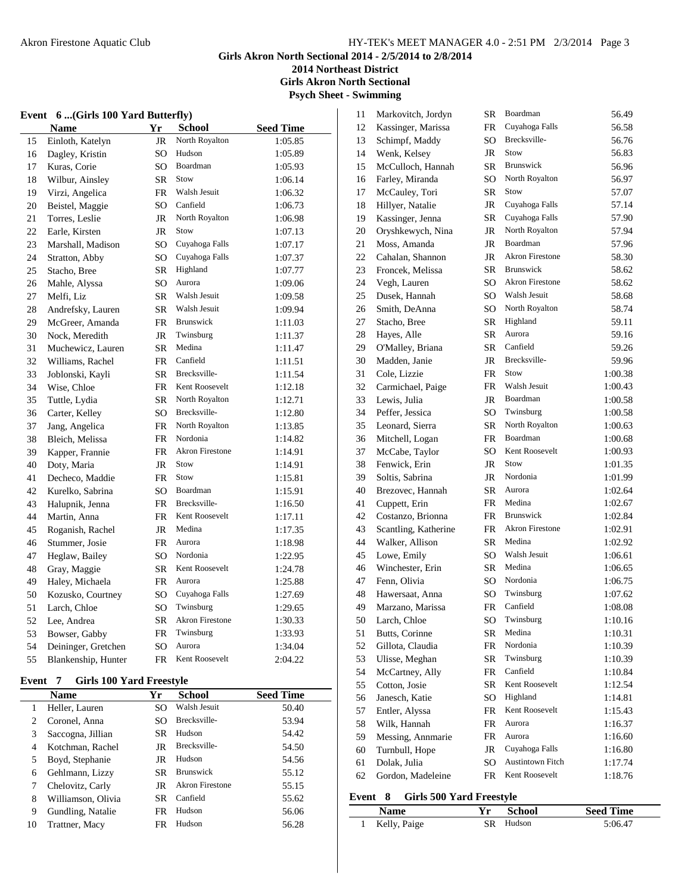**2014 Northeast District Girls Akron North Sectional**

**Psych Sheet - Swimming**

# **Event 6 ...(Girls 100 Yard Butterfly)**

|    | Name                | Yr        | <b>School</b>          | <b>Seed Time</b> |
|----|---------------------|-----------|------------------------|------------------|
| 15 | Einloth, Katelyn    | JR        | North Royalton         | 1:05.85          |
| 16 | Dagley, Kristin     | SO        | Hudson                 | 1:05.89          |
| 17 | Kuras, Corie        | SO        | Boardman               | 1:05.93          |
| 18 | Wilbur, Ainsley     | <b>SR</b> | Stow                   | 1:06.14          |
| 19 | Virzi, Angelica     | FR        | Walsh Jesuit           | 1:06.32          |
| 20 | Beistel, Maggie     | SO        | Canfield               | 1:06.73          |
| 21 | Torres, Leslie      | <b>JR</b> | North Royalton         | 1:06.98          |
| 22 | Earle, Kirsten      | JR        | Stow                   | 1:07.13          |
| 23 | Marshall, Madison   | SO        | Cuyahoga Falls         | 1:07.17          |
| 24 | Stratton, Abby      | SO        | Cuyahoga Falls         | 1:07.37          |
| 25 | Stacho, Bree        | SR        | Highland               | 1:07.77          |
| 26 | Mahle, Alyssa       | SO        | Aurora                 | 1:09.06          |
| 27 | Melfi, Liz          | <b>SR</b> | Walsh Jesuit           | 1:09.58          |
| 28 | Andrefsky, Lauren   | <b>SR</b> | Walsh Jesuit           | 1:09.94          |
| 29 | McGreer, Amanda     | FR        | Brunswick              | 1:11.03          |
| 30 | Nock, Meredith      | <b>JR</b> | Twinsburg              | 1:11.37          |
| 31 | Muchewicz, Lauren   | SR        | Medina                 | 1:11.47          |
| 32 | Williams, Rachel    | FR        | Canfield               | 1:11.51          |
| 33 | Joblonski, Kayli    | <b>SR</b> | Brecksville-           | 1:11.54          |
| 34 | Wise, Chloe         | FR        | Kent Roosevelt         | 1:12.18          |
| 35 | Tuttle, Lydia       | <b>SR</b> | North Royalton         | 1:12.71          |
| 36 | Carter, Kelley      | SO        | Brecksville-           | 1:12.80          |
| 37 | Jang, Angelica      | FR        | North Royalton         | 1:13.85          |
| 38 | Bleich, Melissa     | <b>FR</b> | Nordonia               | 1:14.82          |
| 39 | Kapper, Frannie     | FR        | <b>Akron Firestone</b> | 1:14.91          |
| 40 | Doty, Maria         | <b>JR</b> | Stow                   | 1:14.91          |
| 41 | Decheco, Maddie     | FR        | Stow                   | 1:15.81          |
| 42 | Kurelko, Sabrina    | SO        | Boardman               | 1:15.91          |
| 43 | Halupnik, Jenna     | FR        | Brecksville-           | 1:16.50          |
| 44 | Martin, Anna        | FR        | Kent Roosevelt         | 1:17.11          |
| 45 | Roganish, Rachel    | <b>JR</b> | Medina                 | 1:17.35          |
| 46 | Stummer, Josie      | FR        | Aurora                 | 1:18.98          |
| 47 | Heglaw, Bailey      | SO        | Nordonia               | 1:22.95          |
| 48 | Gray, Maggie        | <b>SR</b> | Kent Roosevelt         | 1:24.78          |
| 49 | Haley, Michaela     | FR        | Aurora                 | 1:25.88          |
| 50 | Kozusko, Courtney   | SO        | Cuyahoga Falls         | 1:27.69          |
| 51 | Larch, Chloe        | SO        | Twinsburg              | 1:29.65          |
| 52 | Lee, Andrea         | <b>SR</b> | <b>Akron Firestone</b> | 1:30.33          |
| 53 | Bowser, Gabby       | <b>FR</b> | Twinsburg              | 1:33.93          |
| 54 | Deininger, Gretchen | SO        | Aurora                 | 1:34.04          |
| 55 | Blankenship, Hunter | FR        | Kent Roosevelt         | 2:04.22          |

## **Event 7 Girls 100 Yard Freestyle**

 $\overline{a}$ 

|    | Name               | Yr        | School                 | <b>Seed Time</b> |
|----|--------------------|-----------|------------------------|------------------|
| 1  | Heller, Lauren     | SO.       | Walsh Jesuit           | 50.40            |
| 2  | Coronel, Anna      | SO.       | Brecksville-           | 53.94            |
| 3  | Saccogna, Jillian  | <b>SR</b> | Hudson                 | 54.42            |
| 4  | Kotchman, Rachel   | JR        | Brecksville-           | 54.50            |
| 5  | Boyd, Stephanie    | JR        | Hudson                 | 54.56            |
| 6  | Gehlmann, Lizzy    | <b>SR</b> | <b>Brunswick</b>       | 55.12            |
| 7  | Chelovitz, Carly   | JR        | <b>Akron Firestone</b> | 55.15            |
| 8  | Williamson, Olivia | SR.       | Canfield               | 55.62            |
| 9  | Gundling, Natalie  | FR        | Hudson                 | 56.06            |
| 10 | Trattner, Macy     | FR        | Hudson                 | 56.28            |

| 11 | Markovitch, Jordyn   | SR  | Boardman                | 56.49   |
|----|----------------------|-----|-------------------------|---------|
| 12 | Kassinger, Marissa   | FR  | Cuyahoga Falls          | 56.58   |
| 13 | Schimpf, Maddy       | SO. | Brecksville-            | 56.76   |
| 14 | Wenk, Kelsey         | JR  | Stow                    | 56.83   |
| 15 | McCulloch, Hannah    | SR  | Brunswick               | 56.96   |
| 16 | Farley, Miranda      | SO  | North Royalton          | 56.97   |
| 17 | McCauley, Tori       | SR  | Stow                    | 57.07   |
| 18 | Hillyer, Natalie     | JR  | Cuyahoga Falls          | 57.14   |
| 19 | Kassinger, Jenna     | SR  | Cuyahoga Falls          | 57.90   |
| 20 | Oryshkewych, Nina    | JR  | North Royalton          | 57.94   |
| 21 | Moss, Amanda         | JR  | Boardman                | 57.96   |
| 22 | Cahalan, Shannon     | JR  | <b>Akron Firestone</b>  | 58.30   |
| 23 | Froncek, Melissa     | SR  | <b>Brunswick</b>        | 58.62   |
| 24 | Vegh, Lauren         | SO  | <b>Akron Firestone</b>  | 58.62   |
| 25 | Dusek, Hannah        | SO  | Walsh Jesuit            | 58.68   |
| 26 | Smith, DeAnna        | SO  | North Royalton          | 58.74   |
| 27 | Stacho, Bree         | SR  | Highland                | 59.11   |
| 28 | Hayes, Alle          | SR  | Aurora                  | 59.16   |
| 29 | O'Malley, Briana     | SR  | Canfield                | 59.26   |
| 30 | Madden, Janie        | JR  | Brecksville-            | 59.96   |
| 31 | Cole, Lizzie         | FR  | Stow                    | 1:00.38 |
| 32 | Carmichael, Paige    | FR  | Walsh Jesuit            | 1:00.43 |
| 33 | Lewis, Julia         | JR  | Boardman                | 1:00.58 |
| 34 | Peffer, Jessica      | SO  | Twinsburg               | 1:00.58 |
| 35 | Leonard, Sierra      | SR  | North Royalton          | 1:00.63 |
| 36 | Mitchell, Logan      | FR  | Boardman                | 1:00.68 |
| 37 | McCabe, Taylor       | SO  | Kent Roosevelt          | 1:00.93 |
| 38 | Fenwick, Erin        | JR  | Stow                    | 1:01.35 |
| 39 | Soltis, Sabrina      | JR  | Nordonia                | 1:01.99 |
| 40 | Brezovec, Hannah     | SR  | Aurora                  | 1:02.64 |
| 41 | Cuppett, Erin        | FR  | Medina                  | 1:02.67 |
| 42 | Costanzo, Brionna    | FR  | Brunswick               | 1:02.84 |
| 43 | Scantling, Katherine | FR  | <b>Akron Firestone</b>  | 1:02.91 |
| 44 | Walker, Allison      | SR  | Medina                  | 1:02.92 |
| 45 | Lowe, Emily          | SO  | Walsh Jesuit            | 1:06.61 |
| 46 | Winchester, Erin     | SR  | Medina                  | 1:06.65 |
| 47 | Fenn, Olivia         | SO  | Nordonia                | 1:06.75 |
| 48 | Hawersaat, Anna      | SO  | Twinsburg               | 1:07.62 |
| 49 | Marzano, Marissa     | FR  | Canfield                | 1:08.08 |
| 50 | Larch, Chloe         | SO  | Twinsburg               | 1:10.16 |
| 51 | Butts, Corinne       | SR  | Medina                  | 1:10.31 |
| 52 | Gillota, Claudia     | FR  | Nordonia                | 1:10.39 |
| 53 | Ulisse, Meghan       | SR  | Twinsburg               | 1:10.39 |
| 54 | McCartney, Ally      | FR  | Canfield                | 1:10.84 |
| 55 | Cotton, Josie        | SR  | Kent Roosevelt          | 1:12.54 |
| 56 | Janesch, Katie       | SO  | Highland                | 1:14.81 |
| 57 | Entler, Alyssa       | FR  | Kent Roosevelt          | 1:15.43 |
| 58 | Wilk, Hannah         | FR  | Aurora                  | 1:16.37 |
| 59 | Messing, Annmarie    | FR  | Aurora                  | 1:16.60 |
| 60 | Turnbull, Hope       | JR  | Cuyahoga Falls          | 1:16.80 |
| 61 | Dolak, Julia         | SO  | <b>Austintown Fitch</b> | 1:17.74 |
| 62 | Gordon, Madeleine    | FR  | Kent Roosevelt          | 1:18.76 |

#### **Event 8 Girls 500 Yard Freestyle**

 $\overline{a}$ 

| <b>Name</b>  | Yr School | <b>Seed Time</b> |
|--------------|-----------|------------------|
| Kelly, Paige | SR Hudson | 5:06.47          |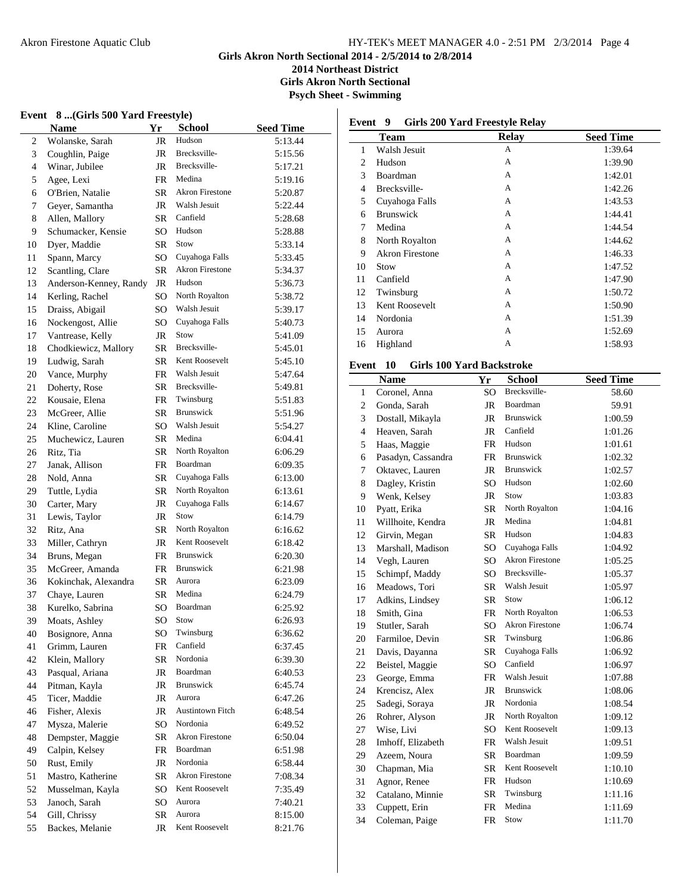**Event 8 ...(Girls 500 Yard Freestyle)**

#### Akron Firestone Aquatic Club HY-TEK's MEET MANAGER 4.0 - 2:51 PM 2/3/2014 Page 4

**Girls Akron North Sectional 2014 - 2/5/2014 to 2/8/2014**

**2014 Northeast District Girls Akron North Sectional**

**Psych Sheet - Swimming**

 $\overline{a}$ 

|                | <b>Name</b>                        | Yr        | <b>School</b>           | <b>Seed Time</b> |
|----------------|------------------------------------|-----------|-------------------------|------------------|
| $\mathfrak{2}$ | Wolanske, Sarah                    | JR        | Hudson                  | 5:13.44          |
| 3              | Coughlin, Paige                    | JR        | Brecksville-            | 5:15.56          |
| $\overline{4}$ | Winar, Jubilee                     | JR        | Brecksville-            | 5:17.21          |
| 5              | Agee, Lexi                         | FR        | Medina                  | 5:19.16          |
| 6              | O'Brien, Natalie                   | SR        | <b>Akron Firestone</b>  | 5:20.87          |
| 7              | Geyer, Samantha                    | JR        | Walsh Jesuit            | 5:22.44          |
| 8              | Allen, Mallory                     | SR        | Canfield                | 5:28.68          |
| 9              | Schumacker, Kensie                 | SO        | Hudson                  | 5:28.88          |
| 10             | Dyer, Maddie                       | SR        | Stow                    | 5:33.14          |
| 11             | Spann, Marcy                       | SO        | Cuyahoga Falls          | 5:33.45          |
| 12             | Scantling, Clare                   | <b>SR</b> | <b>Akron Firestone</b>  | 5:34.37          |
| 13             | Anderson-Kenney, Randy             | JR        | Hudson                  | 5:36.73          |
| 14             | Kerling, Rachel                    | SO        | North Royalton          | 5:38.72          |
| 15             | Draiss, Abigail                    | SO        | Walsh Jesuit            | 5:39.17          |
| 16             | Nockengost, Allie                  | SO        | Cuyahoga Falls          | 5:40.73          |
| 17             | Vantrease, Kelly                   | JR        | Stow                    | 5:41.09          |
| 18             | Chodkiewicz, Mallory               | SR        | Brecksville-            | 5:45.01          |
| 19             | Ludwig, Sarah                      | SR        | Kent Roosevelt          | 5:45.10          |
| 20             | Vance, Murphy                      | FR        | Walsh Jesuit            | 5:47.64          |
| 21             | Doherty, Rose                      | SR        | Brecksville-            | 5:49.81          |
| 22             | Kousaie, Elena                     | FR        | Twinsburg               | 5:51.83          |
| 23             | McGreer, Allie                     | SR        | Brunswick               | 5:51.96          |
| 24             | Kline, Caroline                    | SO        | Walsh Jesuit            | 5:54.27          |
| 25             | Muchewicz, Lauren                  | SR        | Medina                  | 6:04.41          |
| 26             | Ritz, Tia                          | SR        | North Royalton          | 6:06.29          |
| 27             | Janak, Allison                     | FR        | Boardman                | 6:09.35          |
| 28             | Nold, Anna                         | SR        | Cuyahoga Falls          | 6:13.00          |
| 29             | Tuttle, Lydia                      | SR        | North Royalton          | 6:13.61          |
| 30             | Carter, Mary                       | JR        | Cuyahoga Falls          | 6:14.67          |
| 31             | Lewis, Taylor                      | JR        | Stow                    | 6:14.79          |
| 32             | Ritz, Ana                          | SR        | North Royalton          | 6:16.62          |
| 33             | Miller, Cathryn                    | JR        | Kent Roosevelt          | 6:18.42          |
| 34             | Bruns, Megan                       | FR        | Brunswick               | 6:20.30          |
| 35             | McGreer, Amanda                    | FR        | Brunswick               | 6:21.98          |
| 36             | Kokinchak, Alexandra               | SR        | Aurora                  | 6:23.09          |
| 37             | Chaye, Lauren                      | SR        | Medina                  | 6:24.79          |
| 38             | Kurelko, Sabrina                   | SO        | Boardman                | 6:25.92          |
| 39             | Moats, Ashley                      | SO        | Stow                    | 6:26.93          |
| 40             | Bosignore, Anna                    | SO        | Twinsburg               | 6:36.62          |
| 41             | Grimm, Lauren                      | FR        | Canfield                | 6:37.45          |
| 42             | Klein, Mallory                     | SR        | Nordonia                | 6:39.30          |
| 43             | Pasqual, Ariana                    | JR        | Boardman                | 6:40.53          |
| 44             | Pitman, Kayla                      | JR        | Brunswick               | 6:45.74          |
| 45             | Ticer, Maddie                      | JR        | Aurora                  | 6:47.26          |
| 46             | Fisher, Alexis                     | JR        | <b>Austintown Fitch</b> | 6:48.54          |
| 47             | Mysza, Malerie                     | SO        | Nordonia                | 6:49.52          |
| 48             |                                    | SR        | <b>Akron Firestone</b>  | 6:50.04          |
| 49             | Dempster, Maggie<br>Calpin, Kelsey | FR        | Boardman                | 6:51.98          |
| 50             |                                    | JR        | Nordonia                | 6:58.44          |
|                | Rust, Emily                        |           | Akron Firestone         |                  |
| 51             | Mastro, Katherine                  | SR<br>SO  | Kent Roosevelt          | 7:08.34          |
| 52             | Musselman, Kayla                   |           | Aurora                  | 7:35.49          |
| 53             | Janoch, Sarah                      | SO        | Aurora                  | 7:40.21          |
| 54<br>55       | Gill, Chrissy<br>Backes, Melanie   | SR        | Kent Roosevelt          | 8:15.00          |
|                |                                    | JR        |                         | 8:21.76          |

|    | Team                   | Relay | <b>Seed Time</b> |
|----|------------------------|-------|------------------|
| 1  | Walsh Jesuit           | A     | 1:39.64          |
| 2  | Hudson                 | A     | 1:39.90          |
| 3  | Boardman               | A     | 1:42.01          |
| 4  | Brecksville-           | A     | 1:42.26          |
| 5  | Cuyahoga Falls         | A     | 1:43.53          |
| 6  | <b>Brunswick</b>       | A     | 1:44.41          |
| 7  | Medina                 | A     | 1:44.54          |
| 8  | North Royalton         | A     | 1:44.62          |
| 9  | <b>Akron Firestone</b> | A     | 1:46.33          |
| 10 | Stow                   | A     | 1:47.52          |
| 11 | Canfield               | A     | 1:47.90          |
| 12 | Twinsburg              | A     | 1:50.72          |
| 13 | Kent Roosevelt         | A     | 1:50.90          |
| 14 | Nordonia               | A     | 1:51.39          |
| 15 | Aurora                 | A     | 1:52.69          |
| 16 | Highland               | A     | 1:58.93          |

#### **Event 10 Girls 100 Yard Backstroke**

|                | <b>Name</b>        | Yr              | <b>School</b>          | <b>Seed Time</b> |
|----------------|--------------------|-----------------|------------------------|------------------|
| $\mathbf{1}$   | Coronel, Anna      | SO              | Brecksville-           | 58.60            |
| $\overline{c}$ | Gonda, Sarah       | JR              | Boardman               | 59.91            |
| 3              | Dostall, Mikayla   | <b>JR</b>       | <b>Brunswick</b>       | 1:00.59          |
| $\overline{4}$ | Heaven, Sarah      | <b>JR</b>       | Canfield               | 1:01.26          |
| 5              | Haas, Maggie       | <b>FR</b>       | Hudson                 | 1:01.61          |
| 6              | Pasadyn, Cassandra | <b>FR</b>       | <b>Brunswick</b>       | 1:02.32          |
| 7              | Oktavec, Lauren    | JR              | <b>Brunswick</b>       | 1:02.57          |
| 8              | Dagley, Kristin    | SO              | Hudson                 | 1:02.60          |
| 9              | Wenk, Kelsey       | <b>JR</b>       | Stow                   | 1:03.83          |
| 10             | Pyatt, Erika       | <b>SR</b>       | North Royalton         | 1:04.16          |
| 11             | Willhoite, Kendra  | <b>JR</b>       | Medina                 | 1:04.81          |
| 12             | Girvin, Megan      | <b>SR</b>       | Hudson                 | 1:04.83          |
| 13             | Marshall, Madison  | SO              | Cuyahoga Falls         | 1:04.92          |
| 14             | Vegh, Lauren       | SO.             | <b>Akron Firestone</b> | 1:05.25          |
| 15             | Schimpf, Maddy     | SO              | Brecksville-           | 1:05.37          |
| 16             | Meadows, Tori      | <b>SR</b>       | Walsh Jesuit           | 1:05.97          |
| 17             | Adkins, Lindsey    | <b>SR</b>       | Stow                   | 1:06.12          |
| 18             | Smith, Gina        | <b>FR</b>       | North Royalton         | 1:06.53          |
| 19             | Stutler, Sarah     | SO <sub>1</sub> | <b>Akron Firestone</b> | 1:06.74          |
| 20             | Farmiloe, Devin    | SR              | Twinsburg              | 1:06.86          |
| 21             | Davis, Dayanna     | SR              | Cuyahoga Falls         | 1:06.92          |
| 22             | Beistel, Maggie    | SO.             | Canfield               | 1:06.97          |
| 23             | George, Emma       | FR              | Walsh Jesuit           | 1:07.88          |
| 24             | Krencisz, Alex     | JR              | <b>Brunswick</b>       | 1:08.06          |
| 25             | Sadegi, Soraya     | <b>JR</b>       | Nordonia               | 1:08.54          |
| 26             | Rohrer, Alyson     | JR              | North Royalton         | 1:09.12          |
| 27             | Wise, Livi         | SO <sub>1</sub> | Kent Roosevelt         | 1:09.13          |
| 28             | Imhoff, Elizabeth  | FR              | Walsh Jesuit           | 1:09.51          |
| 29             | Azeem, Noura       | <b>SR</b>       | Boardman               | 1:09.59          |
| 30             | Chapman, Mia       | <b>SR</b>       | Kent Roosevelt         | 1:10.10          |
| 31             | Agnor, Renee       | FR              | Hudson                 | 1:10.69          |
| 32             | Catalano, Minnie   | <b>SR</b>       | Twinsburg              | 1:11.16          |
| 33             | Cuppett, Erin      | FR              | Medina                 | 1:11.69          |
| 34             | Coleman, Paige     | <b>FR</b>       | Stow                   | 1:11.70          |
|                |                    |                 |                        |                  |

# **Event 9 Girls 200 Yard Freestyle Relay**